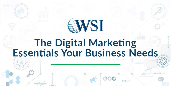# SWSI

# The Digital Marketing<br>Essentials Your Business Needs

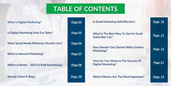

## **TABLE OF CONTENTS**

**What Is Digital Marketing?** 

**Is Digital Marketing Only For Sales?** 

**What Social Media Platforms Should I Use?** 

**What Is Inbound Marketing?** 

**Which Is Better - SEO Or Paid Advertising?** 

**Should I Have A Blog?** 

| Page 04            | <b>Is Email Marketing Still Effective?</b>                             | Page 10 |
|--------------------|------------------------------------------------------------------------|---------|
| Page 05            | <b>What Is The Best Way To Get An Email</b><br><b>Subscriber List?</b> | Page 11 |
| Page 06<br>Page 07 | <b>How Should I Get Started With Content</b><br><b>Marketing?</b>      | Page 12 |
| Page 08            | <b>How Do You Measure The Success Of</b><br><b>Digital Marketing?</b>  | Page 13 |
| <b>Page</b><br>09  | <b>Which Metrics Are The Most Important?</b>                           | Page    |

#### **An Email**

#### **H** Content

#### **CCESS Of**

#### **Important?** [Page 14](#page-13-0)

#### **Is Email Control Excess [Page 10](#page-9-0)**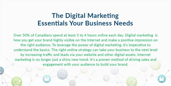## **The Digital Marketing Essentials Your Business Needs**

Over 50% of Canadians spend at least 3 to 4 hours online each day. Digital marketing is how you get your brand highly visible on the Internet and make a positive impression on the right audience. To leverage the power of digital marketing, it's imperative to understand the basics. The right online strategy can take your business to the next level by increasing traffic and leads via your website and other digital assets. Internet marketing is no longer just a shiny new trend. It's a proven method of driving sales and engagement with your audience to build your brand.

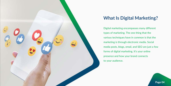<span id="page-3-0"></span>

## **What Is Digital Marketing?**

- Digital marketing encompasses many different
	-
- various techniques have in common is that the
- marketing is through electronic media. Social
- media posts, blogs, email, and SEO are just a few
	-
	-

types of marketing. The one thing that the forms of digital marketing. It's your online presence and how your brand connects to your audience.

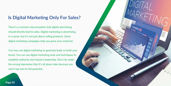#### <span id="page-4-0"></span>**Is Digital Marketing Only For Sales?**

There's a common misconception that digital advertising should directly lead to sales. Digital marketing is advertising, in a sense, but it's not just about selling products. Some digital marketing campaigns help you grow your email list.

You may use digital marketing to generate leads or build your brand. You can use digital marketing tools and techniques to establish authority and industry leadership. Don't be under the wrong impression that it's all about sales because you won't tap into its full potential.

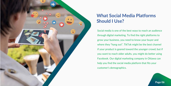<span id="page-5-0"></span>

## **What Social Media Platforms Should I Use?**

Social media is one of the best ways to reach an audience through digital marketing. To find the right platforms to grow your business, you need to know your buyer and where they "hang out". TikTok might be the best channel if your product is geared toward the younger crowd, but if you want to reach older adults, you might do better using Facebook. Our digital marketing company in Ottawa can help you find the social media platform that fits your customer's demographics.

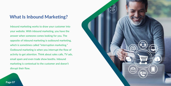#### <span id="page-6-0"></span>**What Is Inbound Marketing?**

Inbound marketing works to draw your customer into your website. With inbound marketing, you have the answer when someone comes looking for you. The opposite of inbound marketing is outbound marketing, which is sometimes called "interruption marketing." Outbound marketing is when you interrupt the flow of activity to get attention. Think about sales calls, TV ads, email spam and even trade show booths. Inbound marketing is contextual to the customer and doesn't disrupt their flow.

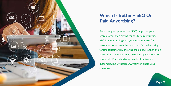<span id="page-7-0"></span>

## **Which Is Better – SEO Or Paid Advertising?**

Search engine optimization (SEO) targets organic search rather than paying for ads for direct traffic. SEO is about making sure your website ranks for search terms to reach the customer. Paid advertising targets customers by showing them ads. Neither one is better than the other on its own. It simply depends on your goals. Paid advertising has its place to gain customers, but without SEO, you won't hold your customer.

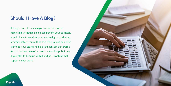#### <span id="page-8-0"></span>**Should I Have A Blog?**

A blog is one of the main platforms for content marketing. Although a blog can benefit your business, you do have to consider your entire digital marketing strategy before committing to a blog. A blog can drive traffic to your store and help you convert that traffic into customers. We often recommend blogs, but only if you plan to keep up with it and post content that supports your brand.



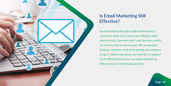<span id="page-9-0"></span>

## **Is Email Marketing Still Effective?**

Email marketing often gets a bad rap because it is misused by many, but it can be very effective when used correctly. Customers don't want too many emails, nor do they want to receive spam. We recommend building a customer email list by getting your audience to opt in. Gather data about your email list to segment it into different lists so you can target customers at different places in their buying journey.

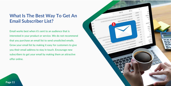Email works best when it's sent to an audience that is interested in your product or service. We do not recommend that you purchase an email list to send unsolicited emails. Grow your email list by making it easy for customers to give you their email address to stay in touch. Encourage new subscribers to get your email by making them an attractive offer online.



#### <span id="page-10-0"></span>**What Is The Best Way To Get An Email Subscriber List?**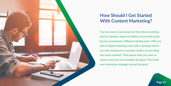## <span id="page-11-0"></span>**How Should I Get Started With Content Marketing?**

You may want to just jump into the online marketing pool by starting a blog and making social media posts, but we recommend a different starting point. With any kind of digital marketing, start with a strategy before you start buying ads or posting content on your blog and social channels. Think about what you want to achieve and how to accomplish that goal. Then build your marketing campaign around that goal.

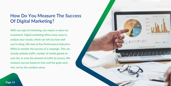#### <span id="page-12-0"></span>**How Do You Measure The Success Of Digital Marketing?**

With any type of marketing, you expect a return on investment. Digital marketing offers many ways to analyze your results, which can tell you how well you're doing. We look at Key Performance Indicators (KPIs) to monitor the success of a campaign. This can include website traffic, number of emails gained on your list, or even the amount of traffic by source. We measure success based on how well the goals were met, not by the numbers alone.

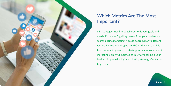<span id="page-13-0"></span>

## **Which Metrics Are The Most Important?**

SEO strategies need to be tailored to fit your goals and needs. If you aren't getting results from your content and search engine marketing, it could be from many different factors. Instead of giving up on SEO or thinking that it is too complex, improve your strategy with a robust content marketing plan. WSI eStrategies in Ottawa can help your business improve its digital marketing strategy. Contact us to get started.